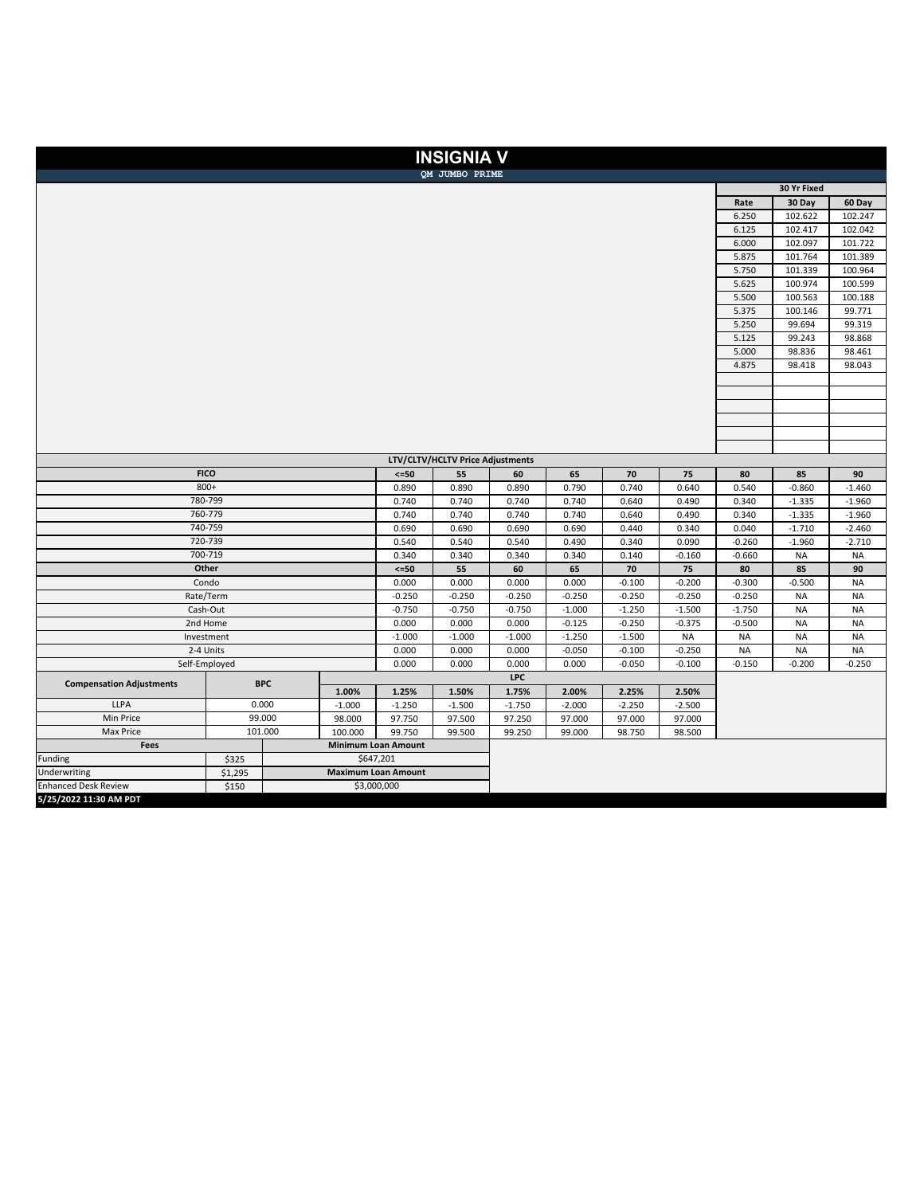|                                 |                                  |                |                            | <b>INSIGNIA V</b> |                |                |                |                      |                      |           |           |
|---------------------------------|----------------------------------|----------------|----------------------------|-------------------|----------------|----------------|----------------|----------------------|----------------------|-----------|-----------|
|                                 |                                  |                |                            | QM JUMBO PRIME    |                |                |                |                      |                      |           |           |
|                                 |                                  |                |                            | 30 Yr Fixed       |                |                |                |                      |                      |           |           |
|                                 |                                  |                |                            |                   | Rate           | 30 Day         | 60 Day         |                      |                      |           |           |
|                                 |                                  |                |                            |                   |                | 6.250          | 102.622        | 102.247              |                      |           |           |
|                                 |                                  |                |                            |                   | 6.125          | 102.417        | 102.042        |                      |                      |           |           |
|                                 |                                  |                |                            |                   | 6.000          | 102.097        | 101.722        |                      |                      |           |           |
|                                 |                                  |                |                            |                   | 5.875          | 101.764        | 101.389        |                      |                      |           |           |
|                                 |                                  |                |                            |                   | 5.750          | 101.339        | 100.964        |                      |                      |           |           |
|                                 |                                  |                |                            |                   | 5.625          | 100.974        | 100.599        |                      |                      |           |           |
|                                 |                                  |                |                            |                   | 5.500          | 100.563        | 100.188        |                      |                      |           |           |
|                                 |                                  |                |                            |                   | 5.375          | 100.146        | 99.771         |                      |                      |           |           |
|                                 |                                  |                |                            |                   |                |                |                |                      | 5.250                | 99.694    | 99.319    |
|                                 |                                  |                |                            |                   |                |                |                |                      |                      | 99.243    | 98.868    |
|                                 |                                  |                |                            |                   |                |                |                |                      | 5.000<br>4.875       | 98.836    | 98.461    |
|                                 |                                  |                |                            |                   |                |                |                |                      |                      | 98.418    | 98.043    |
|                                 |                                  |                |                            |                   |                |                |                |                      |                      |           |           |
|                                 |                                  |                |                            |                   |                |                |                |                      |                      |           |           |
|                                 |                                  |                |                            |                   |                |                |                |                      |                      |           |           |
|                                 |                                  |                |                            |                   |                |                |                |                      |                      |           |           |
|                                 |                                  |                |                            |                   |                |                |                |                      |                      |           |           |
|                                 |                                  |                |                            |                   |                |                |                |                      |                      |           |           |
|                                 | LTV/CLTV/HCLTV Price Adjustments |                |                            |                   |                |                |                |                      |                      |           |           |
| <b>FICO</b>                     | $<=50$                           | 55             | 60                         | 65                | 70             | 75             | 80             | 85                   | 90                   |           |           |
| 800+<br>780-799                 | 0.890                            | 0.890<br>0.740 | 0.890<br>0.740             | 0.790             | 0.740          | 0.640          | 0.540          | $-0.860$             | $-1.460$<br>$-1.960$ |           |           |
| 760-779                         | 0.740<br>0.740                   | 0.740          | 0.740                      | 0.740<br>0.740    | 0.640<br>0.640 | 0.490<br>0.490 | 0.340<br>0.340 | $-1.335$<br>$-1.335$ | $-1.960$             |           |           |
| 740-759                         | 0.690                            | 0.690          | 0.690                      | 0.690             | 0.440          | 0.340          | 0.040          | $-1.710$             | $-2.460$             |           |           |
|                                 | 0.540                            | 0.540          | 0.540                      | 0.490             | 0.340          | 0.090          | $-0.260$       | $-1.960$             | $-2.710$             |           |           |
| 720-739<br>700-719              |                                  |                |                            | 0.340             | 0.340          | 0.340          | 0.140          | $-0.160$             | $-0.660$             | <b>NA</b> | <b>NA</b> |
| Other                           |                                  |                |                            | 55                | 60             | 65             | 70             | 75                   | 80                   | 85        | 90        |
| Condo                           | $\leq$ =50<br>0.000              | 0.000          | 0.000                      | 0.000             | $-0.100$       | $-0.200$       | $-0.300$       | $-0.500$             | <b>NA</b>            |           |           |
| Rate/Term                       | $-0.250$                         | $-0.250$       | $-0.250$                   | $-0.250$          | $-0.250$       | $-0.250$       | $-0.250$       | <b>NA</b>            | <b>NA</b>            |           |           |
| Cash-Out                        | $-0.750$                         | $-0.750$       | $-0.750$                   | $-1.000$          | $-1.250$       | $-1.500$       | $-1.750$       | <b>NA</b>            | <b>NA</b>            |           |           |
| 2nd Home                        | 0.000                            | 0.000          | 0.000                      | $-0.125$          | $-0.250$       | $-0.375$       | $-0.500$       | <b>NA</b>            | <b>NA</b>            |           |           |
| Investment                      | $-1.000$                         | $-1.000$       | $-1.000$                   | $-1.250$          | $-1.500$       | <b>NA</b>      | <b>NA</b>      | <b>NA</b>            | <b>NA</b>            |           |           |
|                                 | 0.000                            | 0.000          | 0.000                      | $-0.050$          | $-0.100$       | $-0.250$       | <b>NA</b>      | <b>NA</b>            | <b>NA</b>            |           |           |
| 2-4 Units<br>Self-Employed      |                                  |                | 0.000                      | 0.000             | 0.000          | 0.000          | $-0.050$       | $-0.100$             | $-0.150$             | $-0.200$  | $-0.250$  |
| <b>Compensation Adjustments</b> | <b>BPC</b>                       |                |                            |                   | <b>LPC</b>     |                |                |                      |                      |           |           |
|                                 |                                  | 1.00%          | 1.25%                      | 1.50%             | 1.75%          | 2.00%          | 2.25%          | 2.50%                |                      |           |           |
| <b>LLPA</b>                     | 0.000                            | $-1.000$       | $-1.250$                   | $-1.500$          | $-1.750$       | $-2.000$       | $-2.250$       | $-2.500$             |                      |           |           |
| Min Price                       | 99.000                           | 98.000         | 97.750                     | 97.500            | 97.250         | 97.000         | 97.000         | 97.000               |                      |           |           |
| Max Price                       | 101.000                          | 100.000        | 99.750                     | 99.500            | 99.250         | 99.000         | 98.750         | 98.500               |                      |           |           |
| Fees                            |                                  |                | <b>Minimum Loan Amount</b> |                   |                |                |                |                      |                      |           |           |
| Funding                         | \$325                            |                | \$647,201                  |                   |                |                |                |                      |                      |           |           |
| Underwriting                    | \$1,295                          |                | <b>Maximum Loan Amount</b> |                   |                |                |                |                      |                      |           |           |
| <b>Enhanced Desk Review</b>     | \$150                            | \$3,000,000    |                            |                   |                |                |                |                      |                      |           |           |
| 5/25/2022 11:30 AM PDT          |                                  |                |                            |                   |                |                |                |                      |                      |           |           |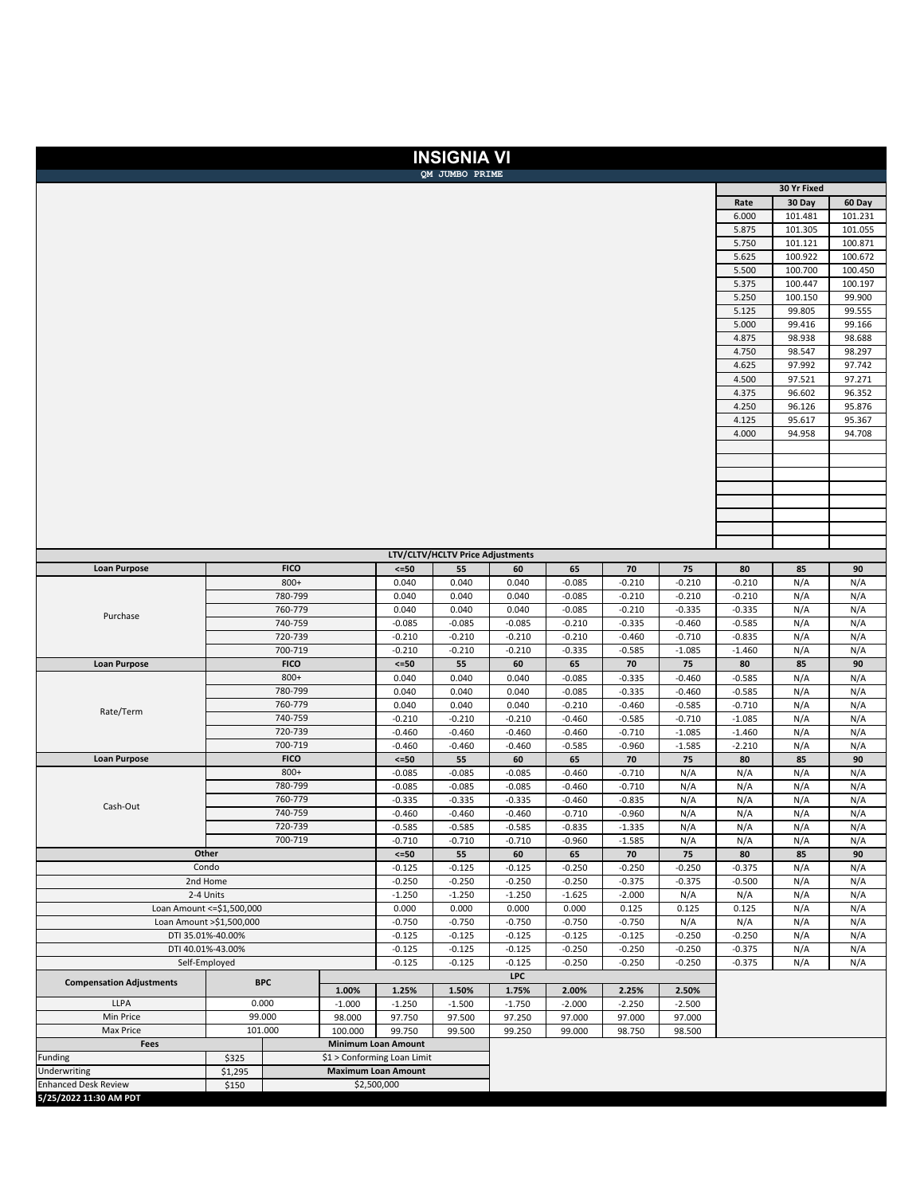## FUNDLOANS

|                                                        |                                       |                             |                      |                            | <b>INSIGNIA VI</b>               |                      |                      |                      |                      |                      |                  |                  |
|--------------------------------------------------------|---------------------------------------|-----------------------------|----------------------|----------------------------|----------------------------------|----------------------|----------------------|----------------------|----------------------|----------------------|------------------|------------------|
| OM JUMBO PRIME                                         |                                       |                             |                      |                            |                                  |                      |                      |                      |                      | 30 Yr Fixed          |                  |                  |
|                                                        |                                       |                             |                      |                            |                                  |                      | Rate                 | 30 Day               | 60 Day               |                      |                  |                  |
|                                                        |                                       |                             |                      |                            |                                  |                      |                      |                      |                      | 6.000                | 101.481          | 101.231          |
|                                                        |                                       |                             |                      |                            |                                  |                      |                      |                      |                      | 5.875                | 101.305          | 101.055          |
|                                                        |                                       |                             |                      |                            |                                  |                      |                      |                      |                      | 5.750                | 101.121          | 100.871          |
|                                                        |                                       |                             |                      |                            |                                  |                      | 5.625                | 100.922              | 100.672              |                      |                  |                  |
|                                                        |                                       |                             |                      |                            |                                  |                      | 5.500                | 100.700              | 100.450              |                      |                  |                  |
|                                                        |                                       |                             |                      |                            |                                  |                      | 5.375<br>5.250       | 100.447<br>100.150   | 100.197<br>99.900    |                      |                  |                  |
|                                                        |                                       |                             |                      |                            |                                  |                      | 5.125                | 99.805               | 99.555               |                      |                  |                  |
|                                                        |                                       |                             |                      |                            |                                  |                      |                      |                      |                      | 5.000                | 99.416           | 99.166           |
|                                                        |                                       |                             |                      |                            |                                  |                      |                      |                      |                      | 4.875                | 98.938           | 98.688           |
|                                                        |                                       |                             |                      |                            |                                  |                      |                      |                      |                      | 4.750                | 98.547           | 98.297           |
|                                                        |                                       |                             |                      |                            |                                  |                      |                      |                      |                      | 4.625                | 97.992           | 97.742           |
|                                                        |                                       |                             |                      |                            |                                  |                      |                      |                      |                      | 4.500                | 97.521           | 97.271           |
|                                                        |                                       |                             |                      |                            |                                  |                      |                      |                      |                      | 4.375<br>4.250       | 96.602<br>96.126 | 96.352<br>95.876 |
|                                                        |                                       |                             |                      |                            |                                  |                      |                      |                      |                      | 4.125                | 95.617           | 95.367           |
|                                                        |                                       |                             |                      |                            |                                  |                      |                      |                      |                      | 4.000                | 94.958           | 94.708           |
|                                                        |                                       |                             |                      |                            |                                  |                      |                      |                      |                      |                      |                  |                  |
|                                                        |                                       |                             |                      |                            |                                  |                      |                      |                      |                      |                      |                  |                  |
|                                                        |                                       |                             |                      |                            |                                  |                      |                      |                      |                      |                      |                  |                  |
|                                                        |                                       |                             |                      |                            |                                  |                      |                      |                      |                      |                      |                  |                  |
|                                                        |                                       |                             |                      |                            |                                  |                      |                      |                      |                      |                      |                  |                  |
|                                                        |                                       |                             |                      |                            |                                  |                      |                      |                      |                      |                      |                  |                  |
|                                                        |                                       |                             |                      |                            |                                  |                      |                      |                      |                      |                      |                  |                  |
|                                                        |                                       |                             |                      |                            | LTV/CLTV/HCLTV Price Adjustments |                      |                      |                      |                      |                      |                  |                  |
| <b>Loan Purpose</b>                                    |                                       | <b>FICO</b>                 |                      | $<=50$                     | 55                               | 60                   | 65                   | 70                   | 75                   | 80                   | 85               | 90               |
|                                                        | 800+                                  |                             |                      | 0.040                      | 0.040                            | 0.040                | $-0.085$             | $-0.210$             | $-0.210$             | $-0.210$             | N/A              | N/A              |
|                                                        | 780-799<br>760-779                    |                             |                      | 0.040<br>0.040             | 0.040<br>0.040                   | 0.040<br>0.040       | $-0.085$<br>$-0.085$ | $-0.210$<br>$-0.210$ | $-0.210$<br>$-0.335$ | $-0.210$<br>$-0.335$ | N/A<br>N/A       | N/A<br>N/A       |
| Purchase                                               | 740-759                               |                             |                      | $-0.085$                   | $-0.085$                         | $-0.085$             | $-0.210$             | $-0.335$             | $-0.460$             | $-0.585$             | N/A              | N/A              |
|                                                        | 720-739                               |                             |                      | $-0.210$                   | $-0.210$                         | $-0.210$             | $-0.210$             | $-0.460$             | $-0.710$             | $-0.835$             | N/A              | N/A              |
|                                                        |                                       | 700-719                     |                      |                            | $-0.210$                         | $-0.210$             | $-0.335$             | $-0.585$             | $-1.085$             | $-1.460$             | N/A              | N/A              |
| <b>Loan Purpose</b>                                    | <b>FICO</b>                           |                             |                      | $\leq$ 50                  | 55                               | 60                   | 65                   | 70                   | 75                   | 80                   | 85               | 90               |
|                                                        | 800+                                  |                             | 0.040                | 0.040                      | 0.040                            | $-0.085$             | $-0.335$             | $-0.460$             | $-0.585$             | N/A                  | N/A              |                  |
|                                                        | 780-799                               |                             |                      | 0.040                      | 0.040                            | 0.040                | $-0.085$             | $-0.335$             | $-0.460$             | $-0.585$             | N/A              | N/A              |
| Rate/Term                                              | 760-779<br>740-759                    |                             |                      | 0.040<br>$-0.210$          | 0.040<br>$-0.210$                | 0.040<br>$-0.210$    | $-0.210$<br>$-0.460$ | $-0.460$<br>$-0.585$ | $-0.585$<br>$-0.710$ | $-0.710$<br>$-1.085$ | N/A<br>N/A       | N/A<br>N/A       |
|                                                        | 720-739                               |                             |                      | $-0.460$                   | $-0.460$                         | $-0.460$             | $-0.460$             | $-0.710$             | $-1.085$             | $-1.460$             | N/A              | N/A              |
|                                                        | 700-719                               |                             |                      | $-0.460$                   | $-0.460$                         | $-0.460$             | $-0.585$             | $-0.960$             | $-1.585$             | $-2.210$             | N/A              | N/A              |
| <b>Loan Purpose</b>                                    | <b>FICO</b>                           |                             |                      | $\texttt{<=}50$            | 55                               | 60                   | 65                   | 70                   | 75                   | 80                   | 85               | 90               |
|                                                        | 800+                                  |                             | $-0.085$             | $-0.085$                   | $-0.085$                         | $-0.460$             | $-0.710$             | N/A                  | N/A                  | N/A                  | N/A              |                  |
|                                                        |                                       | 780-799                     |                      | $-0.085$                   | $-0.085$                         | $-0.085$             | $-0.460$             | $-0.710$             | N/A                  | N/A                  | N/A              | N/A              |
| Cash-Out                                               | 760-779                               |                             | $-0.335$             | $-0.335$                   | $-0.335$                         | $-0.460$             | $-0.835$             | N/A                  | N/A                  | N/A                  | N/A              |                  |
|                                                        | 740-759<br>720-739                    |                             |                      | $-0.460$<br>$-0.585$       | $-0.460$<br>$-0.585$             | $-0.460$<br>$-0.585$ | $-0.710$<br>$-0.835$ | $-0.960$<br>$-1.335$ | N/A<br>N/A           | N/A<br>N/A           | N/A<br>N/A       | N/A<br>N/A       |
|                                                        | 700-719                               |                             |                      | $-0.710$                   | $-0.710$                         | $-0.710$             | $-0.960$             | $-1.585$             | N/A                  | N/A                  | N/A              | N/A              |
| Other                                                  |                                       |                             |                      |                            | 55                               | 60                   | 65                   | 70                   | 75                   | 80                   | 85               | 90               |
| Condo                                                  |                                       |                             |                      |                            | $-0.125$                         | $-0.125$             | $-0.250$             | $-0.250$             | $-0.250$             | $-0.375$             | N/A              | N/A              |
|                                                        | 2nd Home                              |                             |                      | $-0.250$<br>$-1.250$       | $-0.250$                         | $-0.250$             | $-0.250$             | $-0.375$             | $-0.375$             | $-0.500$             | N/A              | N/A              |
| 2-4 Units                                              |                                       |                             |                      |                            | $-1.250$                         | $-1.250$             | $-1.625$             | $-2.000$             | N/A                  | N/A                  | N/A              | N/A              |
| Loan Amount <= \$1,500,000<br>Loan Amount >\$1,500,000 |                                       |                             |                      |                            | 0.000<br>$-0.750$                | 0.000<br>$-0.750$    | 0.000<br>$-0.750$    | 0.125<br>$-0.750$    | 0.125<br>N/A         | 0.125<br>N/A         | N/A<br>N/A       | N/A<br>N/A       |
| DTI 35.01%-40.00%                                      |                                       |                             |                      |                            | $-0.125$                         | $-0.125$             | $-0.125$             | $-0.125$             | $-0.250$             | $-0.250$             | N/A              | N/A              |
| DTI 40.01%-43.00%                                      |                                       |                             |                      |                            | $-0.125$                         | $-0.125$             | $-0.250$             | $-0.250$             | $-0.250$             | $-0.375$             | N/A              | N/A              |
| Self-Employed                                          |                                       |                             | $-0.125$<br>$-0.125$ | $-0.125$                   | $-0.125$                         | $-0.250$             | $-0.250$             | $-0.250$             | $-0.375$             | N/A                  | N/A              |                  |
| <b>Compensation Adjustments</b><br><b>BPC</b>          |                                       |                             |                      |                            | <b>LPC</b>                       |                      |                      |                      |                      |                      |                  |                  |
|                                                        |                                       |                             | 1.00%                | 1.25%                      | 1.50%                            | 1.75%                | 2.00%                | 2.25%                | 2.50%                |                      |                  |                  |
| LLPA                                                   | 0.000                                 |                             | $-1.000$             | $-1.250$                   | $-1.500$                         | $-1.750$             | $-2.000$             | $-2.250$             | $-2.500$             |                      |                  |                  |
| Min Price<br>Max Price                                 | 99.000<br>101.000                     |                             | 98.000<br>100.000    | 97.750<br>99.750           | 97.500<br>99.500                 | 97.250<br>99.250     | 97.000<br>99.000     | 97.000<br>98.750     | 97.000<br>98.500     |                      |                  |                  |
| Fees                                                   |                                       |                             |                      | <b>Minimum Loan Amount</b> |                                  |                      |                      |                      |                      |                      |                  |                  |
| Funding                                                | \$325                                 | \$1 > Conforming Loan Limit |                      |                            |                                  |                      |                      |                      |                      |                      |                  |                  |
| Underwriting                                           | \$1,295<br><b>Maximum Loan Amount</b> |                             |                      |                            |                                  |                      |                      |                      |                      |                      |                  |                  |
| <b>Enhanced Desk Review</b>                            | \$150                                 |                             |                      | \$2,500,000                |                                  |                      |                      |                      |                      |                      |                  |                  |
| 5/25/2022 11:30 AM PDT                                 |                                       |                             |                      |                            |                                  |                      |                      |                      |                      |                      |                  |                  |